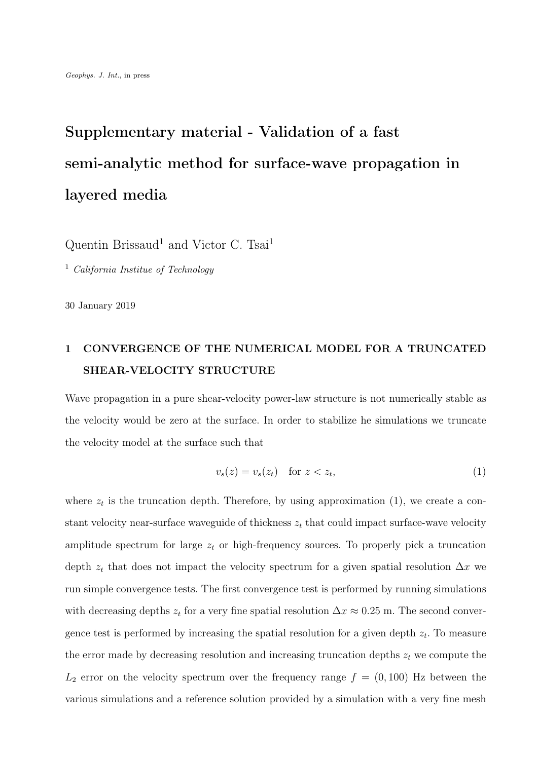# Supplementary material - Validation of a fast semi-analytic method for surface-wave propagation in layered media

Quentin Brissaud<sup>1</sup> and Victor C. Tsai<sup>1</sup>

<sup>1</sup> California Institue of Technology

30 January 2019

### 1 CONVERGENCE OF THE NUMERICAL MODEL FOR A TRUNCATED SHEAR-VELOCITY STRUCTURE

Wave propagation in a pure shear-velocity power-law structure is not numerically stable as the velocity would be zero at the surface. In order to stabilize he simulations we truncate the velocity model at the surface such that

$$
v_s(z) = v_s(z_t) \quad \text{for } z < z_t,\tag{1}
$$

where  $z_t$  is the truncation depth. Therefore, by using approximation (1), we create a constant velocity near-surface waveguide of thickness  $z_t$  that could impact surface-wave velocity amplitude spectrum for large  $z_t$  or high-frequency sources. To properly pick a truncation depth  $z_t$  that does not impact the velocity spectrum for a given spatial resolution  $\Delta x$  we run simple convergence tests. The first convergence test is performed by running simulations with decreasing depths  $z_t$  for a very fine spatial resolution  $\Delta x \approx 0.25$  m. The second convergence test is performed by increasing the spatial resolution for a given depth  $z_t$ . To measure the error made by decreasing resolution and increasing truncation depths  $z_t$  we compute the  $L_2$  error on the velocity spectrum over the frequency range  $f = (0, 100)$  Hz between the various simulations and a reference solution provided by a simulation with a very fine mesh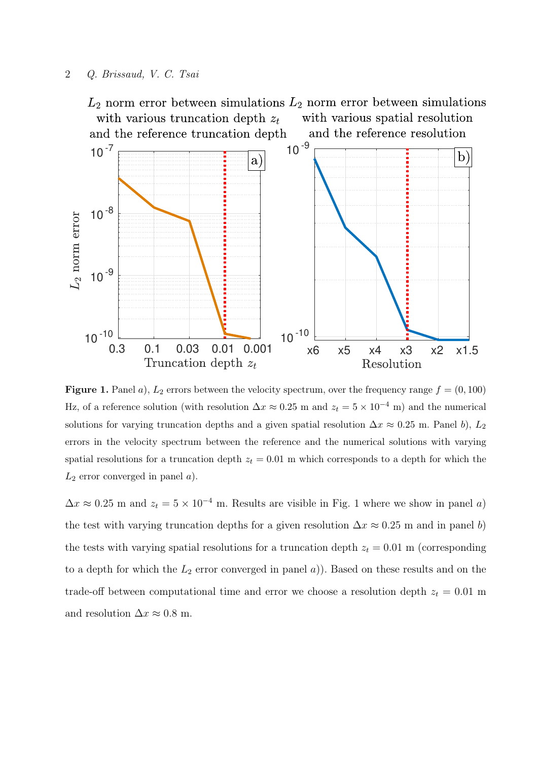#### 2 Q. Brissaud, V. C. Tsai



Figure 1. Panel a),  $L_2$  errors between the velocity spectrum, over the frequency range  $f = (0, 100)$ Hz, of a reference solution (with resolution  $\Delta x \approx 0.25$  m and  $z_t = 5 \times 10^{-4}$  m) and the numerical solutions for varying truncation depths and a given spatial resolution  $\Delta x \approx 0.25$  m. Panel b), L<sub>2</sub> errors in the velocity spectrum between the reference and the numerical solutions with varying spatial resolutions for a truncation depth  $z_t = 0.01$  m which corresponds to a depth for which the  $L_2$  error converged in panel  $a$ ).

 $\Delta x \approx 0.25$  m and  $z_t = 5 \times 10^{-4}$  m. Results are visible in Fig. 1 where we show in panel a) the test with varying truncation depths for a given resolution  $\Delta x \approx 0.25$  m and in panel b) the tests with varying spatial resolutions for a truncation depth  $z_t = 0.01$  m (corresponding to a depth for which the  $L_2$  error converged in panel a)). Based on these results and on the trade-off between computational time and error we choose a resolution depth  $z_t = 0.01$  m and resolution  $\Delta x \approx 0.8$  m.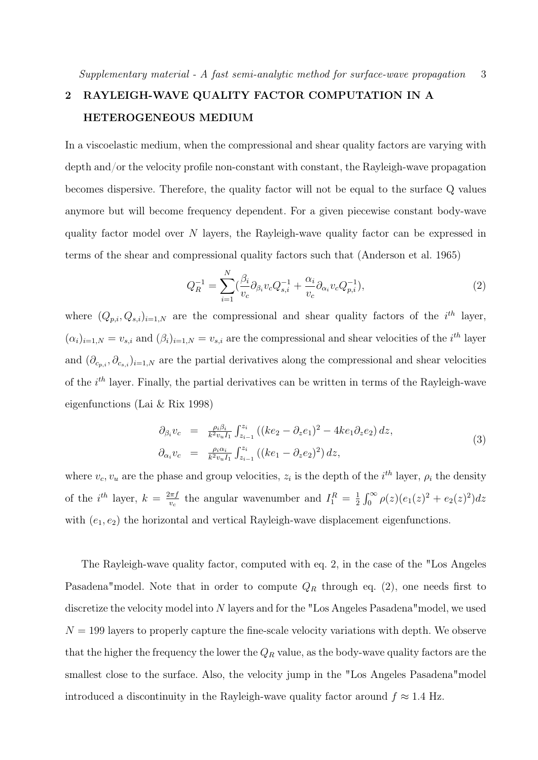## 2 RAYLEIGH-WAVE QUALITY FACTOR COMPUTATION IN A HETEROGENEOUS MEDIUM

In a viscoelastic medium, when the compressional and shear quality factors are varying with depth and/or the velocity profile non-constant with constant, the Rayleigh-wave propagation becomes dispersive. Therefore, the quality factor will not be equal to the surface Q values anymore but will become frequency dependent. For a given piecewise constant body-wave quality factor model over N layers, the Rayleigh-wave quality factor can be expressed in terms of the shear and compressional quality factors such that (Anderson et al. 1965)

$$
Q_R^{-1} = \sum_{i=1}^N (\frac{\beta_i}{v_c} \partial_{\beta_i} v_c Q_{s,i}^{-1} + \frac{\alpha_i}{v_c} \partial_{\alpha_i} v_c Q_{p,i}^{-1}),
$$
\n(2)

where  $(Q_{p,i}, Q_{s,i})_{i=1,N}$  are the compressional and shear quality factors of the i<sup>th</sup> layer,  $(\alpha_i)_{i=1,N} = v_{s,i}$  and  $(\beta_i)_{i=1,N} = v_{s,i}$  are the compressional and shear velocities of the  $i^{th}$  layer and  $(\partial_{c_{p,i}}, \partial_{c_{s,i}})_{i=1,N}$  are the partial derivatives along the compressional and shear velocities of the  $i<sup>th</sup>$  layer. Finally, the partial derivatives can be written in terms of the Rayleigh-wave eigenfunctions (Lai & Rix 1998)

$$
\partial_{\beta_i} v_c = \frac{\rho_i \beta_i}{k^2 v_u I_1} \int_{z_{i-1}}^{z_i} \left( (ke_2 - \partial_z e_1)^2 - 4ke_1 \partial_z e_2 \right) dz, \n\partial_{\alpha_i} v_c = \frac{\rho_i \alpha_i}{k^2 v_u I_1} \int_{z_{i-1}}^{z_i} \left( (ke_1 - \partial_z e_2)^2 \right) dz,
$$
\n(3)

where  $v_c, v_u$  are the phase and group velocities,  $z_i$  is the depth of the  $i^{th}$  layer,  $\rho_i$  the density of the  $i^{th}$  layer,  $k = \frac{2\pi f}{n}$  $\frac{2\pi f}{v_c}$  the angular wavenumber and  $I_1^R = \frac{1}{2}$  $\frac{1}{2} \int_0^\infty \rho(z) (e_1(z)^2 + e_2(z)^2) dz$ with  $(e_1, e_2)$  the horizontal and vertical Rayleigh-wave displacement eigenfunctions.

The Rayleigh-wave quality factor, computed with eq. 2, in the case of the "Los Angeles Pasadena"model. Note that in order to compute  $Q_R$  through eq. (2), one needs first to discretize the velocity model into N layers and for the "Los Angeles Pasadena"model, we used  $N = 199$  layers to properly capture the fine-scale velocity variations with depth. We observe that the higher the frequency the lower the  $Q_R$  value, as the body-wave quality factors are the smallest close to the surface. Also, the velocity jump in the "Los Angeles Pasadena"model introduced a discontinuity in the Rayleigh-wave quality factor around  $f \approx 1.4$  Hz.